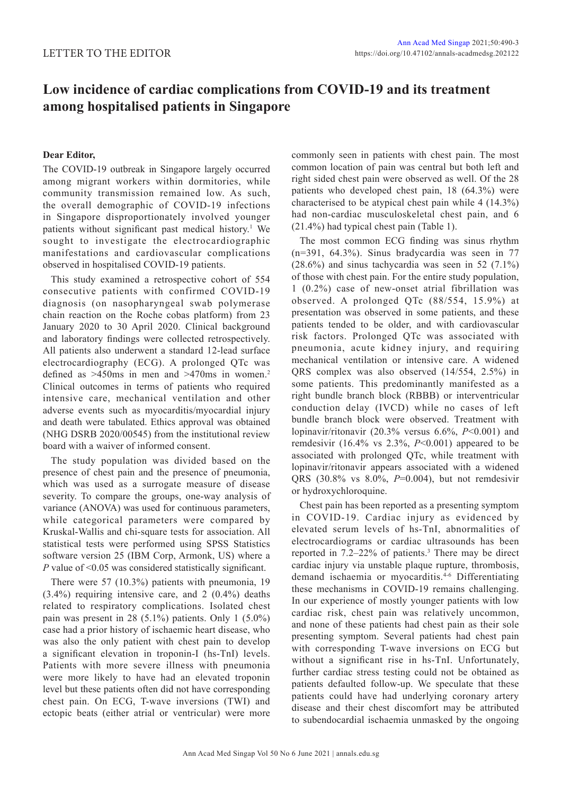## **Low incidence of cardiac complications from COVID-19 and its treatment among hospitalised patients in Singapore**

## **Dear Editor,**

The COVID-19 outbreak in Singapore largely occurred among migrant workers within dormitories, while community transmission remained low. As such, the overall demographic of COVID-19 infections in Singapore disproportionately involved younger patients without significant past medical history.<sup>1</sup> We sought to investigate the electrocardiographic manifestations and cardiovascular complications observed in hospitalised COVID-19 patients.

This study examined a retrospective cohort of 554 consecutive patients with confirmed COVID-19 diagnosis (on nasopharyngeal swab polymerase chain reaction on the Roche cobas platform) from 23 January 2020 to 30 April 2020. Clinical background and laboratory findings were collected retrospectively. All patients also underwent a standard 12-lead surface electrocardiography (ECG). A prolonged QTc was defined as >450ms in men and >470ms in women.<sup>2</sup> Clinical outcomes in terms of patients who required intensive care, mechanical ventilation and other adverse events such as myocarditis/myocardial injury and death were tabulated. Ethics approval was obtained (NHG DSRB 2020/00545) from the institutional review board with a waiver of informed consent.

The study population was divided based on the presence of chest pain and the presence of pneumonia, which was used as a surrogate measure of disease severity. To compare the groups, one-way analysis of variance (ANOVA) was used for continuous parameters, while categorical parameters were compared by Kruskal-Wallis and chi-square tests for association. All statistical tests were performed using SPSS Statistics software version 25 (IBM Corp, Armonk, US) where a *P* value of <0.05 was considered statistically significant.

There were 57 (10.3%) patients with pneumonia, 19 (3.4%) requiring intensive care, and 2 (0.4%) deaths related to respiratory complications. Isolated chest pain was present in 28 (5.1%) patients. Only 1 (5.0%) case had a prior history of ischaemic heart disease, who was also the only patient with chest pain to develop a significant elevation in troponin-I (hs-TnI) levels. Patients with more severe illness with pneumonia were more likely to have had an elevated troponin level but these patients often did not have corresponding chest pain. On ECG, T-wave inversions (TWI) and ectopic beats (either atrial or ventricular) were more

commonly seen in patients with chest pain. The most common location of pain was central but both left and right sided chest pain were observed as well. Of the 28 patients who developed chest pain, 18 (64.3%) were characterised to be atypical chest pain while 4 (14.3%) had non-cardiac musculoskeletal chest pain, and 6 (21.4%) had typical chest pain (Table 1).

The most common ECG finding was sinus rhythm (n=391, 64.3%). Sinus bradycardia was seen in 77  $(28.6\%)$  and sinus tachycardia was seen in 52 (7.1%) of those with chest pain. For the entire study population, 1 (0.2%) case of new-onset atrial fibrillation was observed. A prolonged QTc (88/554, 15.9%) at presentation was observed in some patients, and these patients tended to be older, and with cardiovascular risk factors. Prolonged QTc was associated with pneumonia, acute kidney injury, and requiring mechanical ventilation or intensive care. A widened QRS complex was also observed (14/554, 2.5%) in some patients. This predominantly manifested as a right bundle branch block (RBBB) or interventricular conduction delay (IVCD) while no cases of left bundle branch block were observed. Treatment with lopinavir/ritonavir (20.3% versus 6.6%, *P*<0.001) and remdesivir  $(16.4\% \text{ vs } 2.3\%$ ,  $P<0.001$ ) appeared to be associated with prolonged QTc, while treatment with lopinavir/ritonavir appears associated with a widened QRS (30.8% vs 8.0%, *P*=0.004), but not remdesivir or hydroxychloroquine.

Chest pain has been reported as a presenting symptom in COVID-19. Cardiac injury as evidenced by elevated serum levels of hs-TnI, abnormalities of electrocardiograms or cardiac ultrasounds has been reported in 7.2–22% of patients.<sup>3</sup> There may be direct cardiac injury via unstable plaque rupture, thrombosis, demand ischaemia or myocarditis.4-6 Differentiating these mechanisms in COVID-19 remains challenging. In our experience of mostly younger patients with low cardiac risk, chest pain was relatively uncommon, and none of these patients had chest pain as their sole presenting symptom. Several patients had chest pain with corresponding T-wave inversions on ECG but without a significant rise in hs-TnI. Unfortunately, further cardiac stress testing could not be obtained as patients defaulted follow-up. We speculate that these patients could have had underlying coronary artery disease and their chest discomfort may be attributed to subendocardial ischaemia unmasked by the ongoing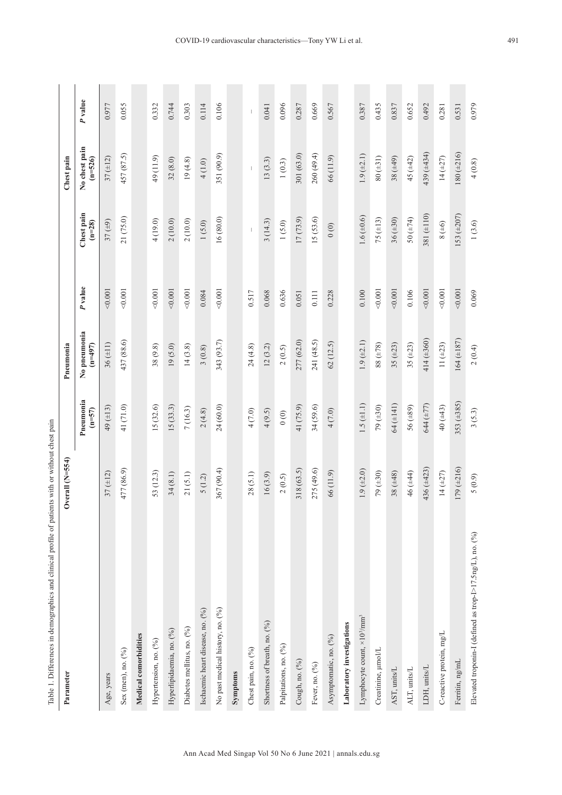| Table 1. Differences in demographics and clinical profile of patients with or without chest pain |                  |                       |                           |         |                        |                            |                |
|--------------------------------------------------------------------------------------------------|------------------|-----------------------|---------------------------|---------|------------------------|----------------------------|----------------|
| Parameter                                                                                        | $Overall(N=554)$ |                       | Pneumonia                 |         |                        | Chest pain                 |                |
|                                                                                                  |                  | Pneumonia<br>$(n=57)$ | No pneumonia<br>$(n=497)$ | P value | Chest pain<br>$(n=28)$ | No chest pain<br>$(n=526)$ | <b>P</b> value |
| Age, years                                                                                       | $37(\pm 12)$     | 49 $(±13)$            | $36(\pm 11)$              | 0.001   | $37(\pm9)$             | $37(\pm 12)$               | 0.977          |
| Sex (men), no. (%)                                                                               | 477 (86.9)       | 41 (71.0)             | 437 (88.6)                | 0.001   | 21 (75.0)              | 457 (87.5)                 | 0.055          |
| <b>Medical comorbidities</b>                                                                     |                  |                       |                           |         |                        |                            |                |
| Hypertension, no. (%)                                                                            | 53 (12.3)        | 15 (32.6)             | 38(9.8)                   | 0.001   | 4 (19.0)               | 49 (11.9)                  | 0.332          |
| Hyperlipidaemia, no. (%)                                                                         | 34(8.1)          | 15(33.3)              | 19(5.0)                   | 0.001   | 2(10.0)                | 32(8.0)                    | 0.744          |
| Diabetes mellitus, no. (%)                                                                       | 21(5.1)          | 7(16.3)               | 14(3.8)                   | 0.001   | 2(10.0)                | 19(4.8)                    | 0.303          |
| Ischaemic heart disease, no. (%)                                                                 | 5(1.2)           | 2(4.8)                | 3(0.8)                    | 0.084   | $1(5.0)$               | 4(1.0)                     | 0.114          |
| No past medical history, no. (%)                                                                 | 367 (90.4)       | 24(60.0)              | 343 (93.7)                | 0.001   | 16 (80.0)              | 351 (90.9)                 | 0.106          |
| Symptoms                                                                                         |                  |                       |                           |         |                        |                            |                |
| Chest pain, no. (%)                                                                              | 28(5.1)          | 4(7.0)                | 24(4.8)                   | 0.517   |                        |                            |                |
| Shortness of breath, no. (%)                                                                     | 16(3.9)          | 4(9.5)                | 12(3.2)                   | 0.068   | 3(14.3)                | 13(3.3)                    | 0.041          |
| Palpitations, no. (%)                                                                            | 2(0.5)           | (0)                   | 2(0.5)                    | 0.636   | $1(5.0)$               | 1(0.3)                     | 0.096          |
| Cough, no. (%)                                                                                   | 318 (63.5)       | 41 (75.9)             | 277 (62.0)                | 0.051   | 17 (73.9)              | 301(63.0)                  | 0.287          |
| Fever, no. (%)                                                                                   | 275 (49.6)       | 34 (59.6)             | 241 (48.5)                | 0.111   | 15 (53.6)              | 260 (49.4)                 | 0.669          |
| Asymptomatic, no. (%)                                                                            | 66 (11.9)        | $4(7.0)$              | 62(12.5)                  | 0.228   | (0)                    | 66 (11.9)                  | 0.567          |
| Laboratory investigations                                                                        |                  |                       |                           |         |                        |                            |                |
| Lymphocyte count, ×10 <sup>3</sup> /mm <sup>3</sup>                                              | $1.9 (\pm 2.0)$  | $1.5 (\pm 1.1)$       | $1.9 (\pm 2.1)$           | $0.100$ | $1.6 (\pm 0.6)$        | $1.9 (\pm 2.1)$            | 0.387          |
| Creatinine, µmol/L                                                                               | 79 (±30)         | 79 (±30)              | 88 (±78)                  | 0.001   | 75 ( $\pm$ 13)         | $80 (+31)$                 | 0.435          |
| AST, units/L                                                                                     | $38 (+48)$       | 64 (±141)             | 35 $(\pm 23)$             | 0.001   | $36 (+30)$             | $38 (+49)$                 | 0.837          |
| ALT, units/L                                                                                     | 46 (±44)         | 56 ( $\pm$ 89)        | 35 $(\pm 23)$             | 0.106   | $50~(\pm 74)$          | 45 (±42)                   | 0.652          |
| LDH, units/L                                                                                     | 436 (±423)       | 644 (±77)             | $414 (\pm 360)$           | 0.001   | 381 $(\pm 110)$        | 439 (±434)                 | 0.492          |
| C-reactive protein, mg/L                                                                         | 14(±27)          | 40 (±43)              | $11 (+23)$                | 0.001   | 8(46)                  | $14 (+27)$                 | 0.281          |
| Ferritin, ng/mL                                                                                  | $179 (+216)$     | 353 $(\pm 385)$       | $164 (\pm 187)$           | 0.001   | 153 ( $\pm 207$ )      | $180 (\pm 216)$            | 0.531          |
| Elevated troponin-I (defined as trop-I>17.5ng/L), no. (%)                                        | 5(0.9)           | 3(5.3)                | 2(0.4)                    | 0.069   | $1(3.6)$               | $4(0.8)$                   | 0.979          |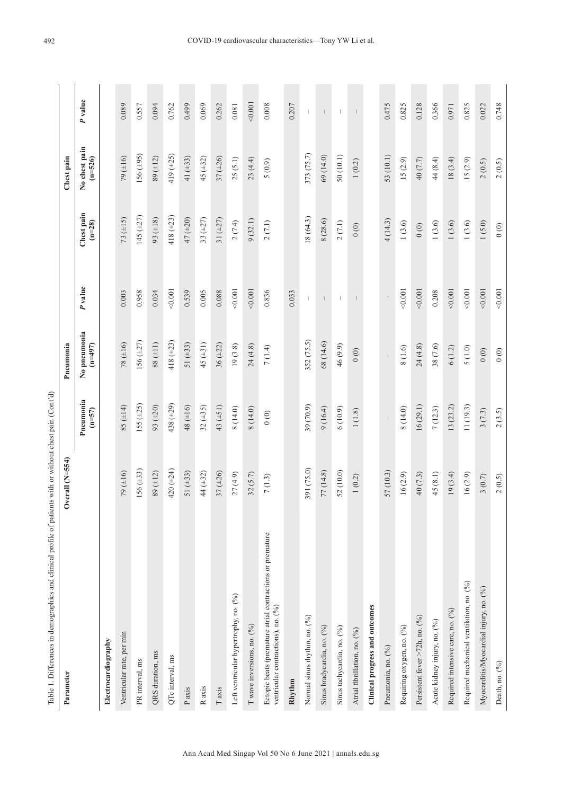| The content of the particle of products of products of the contents with on without client pain (Content of the content of |                   |                       |                           |              |                        |                              |                          |
|----------------------------------------------------------------------------------------------------------------------------|-------------------|-----------------------|---------------------------|--------------|------------------------|------------------------------|--------------------------|
| Parameter                                                                                                                  | Overall $(N=554)$ |                       | Pneumonia                 |              |                        | Chest pain                   |                          |
|                                                                                                                            |                   | Pneumonia<br>$(n=57)$ | No pneumonia<br>$(n=497)$ | P value      | Chest pain<br>$(n=28)$ | No chest pain<br>$(n = 526)$ | <b>P</b> value           |
| Electrocardiography                                                                                                        |                   |                       |                           |              |                        |                              |                          |
| Ventricular rate, per min                                                                                                  | $79 (+16)$        | (614)                 | $78 (\pm 16)$             | 0.003        | $73 (+15)$             | $79 (+16)$                   | 0.089                    |
| PR interval, ms                                                                                                            | $156 (\pm 33)$    | $155 (\pm 25)$        | $156 (\pm 27)$            | 0.958        | 145 ( $\pm$ 27)        | $156 (\pm 95)$               | 0.557                    |
| QRS duration, ms                                                                                                           | $89 (+12)$        | 93 ( $\pm 20$ )       | $88 \, (\pm 11)$          | 0.034        | $93 (\pm 18)$          | $89 (+12)$                   | 0.094                    |
| QTc interval, ms                                                                                                           | 420 (±24)         | 438 ( $\pm 29$ )      | 418 ( $\pm$ 23)           | 0.001        | 418 ( $\pm$ 23)        | 419 ( $\pm 25$ )             | 0.762                    |
| ${\bf P}$ axis                                                                                                             | 51 (±33)          | 48 (±16)              | 51 (±33)                  | 0.539        | 47 (±20)               | 41 $(+33)$                   | 0.499                    |
| $\mathbb R$ axis                                                                                                           | $44 (+32)$        | $32 (+35)$            | 45 (±31)                  | 0.005        | 33 $(\pm 27)$          | 45 ( $\pm 32$ )              | 0.069                    |
| $\rm {T}$ axis                                                                                                             | $37(\pm 26)$      | 43 ( $\pm$ 51)        | 36 ( $\pm 22$ )           | 0.088        | 31 $(+27)$             | $37 (\pm 26)$                | 0.262                    |
| Left ventricular hypertrophy, no. (%)                                                                                      | 27(4.9)           | 8 (14.0)              | 19(3.8)                   | 0.001        | 2(7.4)                 | 25(5.1)                      | 0.081                    |
| T wave inversions, no. (%)                                                                                                 | 32(5.7)           | 8 (14.0)              | 24(4.8)                   | 0.001        | 9(32.1)                | 23(4.4)                      | 0.001                    |
| Ectopic beats (premature atrial contractions or premature<br>ventricular contractions), no. (%)                            | 7(1.3)            | $\circledcirc$        | 7(1.4)                    | 0.836        | 2(7.1)                 | 5(0.9)                       | 0.008                    |
| Rhythm                                                                                                                     |                   |                       |                           | 0.033        |                        |                              | 0.207                    |
| Normal sinus rhythm, no. (%)                                                                                               | 391 (75.0)        | 39 (70.9)             | 352 (75.5)                | $\mathbb{L}$ | 18(64.3)               | 373 (75.7)                   |                          |
| Sinus bradycardia, no. (%)                                                                                                 | 77 (14.8)         | 9(16.4)               | 68 (14.6)                 | $\mathbf{I}$ | 8(28.6)                | 69(14.0)                     | $\overline{\phantom{a}}$ |
| Sinus tachycardia, no. (%)                                                                                                 | 52 (10.0)         | 6(10.9)               | 46 (9.9)                  | $\mathbf{I}$ | 2(7.1)                 | 50 (10.1)                    | $\overline{\phantom{a}}$ |
| Atrial fibrillation, no. (%)                                                                                               | 1(0.2)            | $1\,(1.8)$            | (0)                       | I            | (0)                    | 1(0.2)                       |                          |
| Clinical progress and outcomes                                                                                             |                   |                       |                           |              |                        |                              |                          |
| Pneumonia, no. (%)                                                                                                         | 57 (10.3)         |                       |                           |              | 4(14.3)                | 53 (10.1)                    | 0.475                    |
| Requiring oxygen, no. (%)                                                                                                  | 16(2.9)           | 8 (14.0)              | $8(1.6)$                  | 0.001        | $1\, (3.6)$            | 15(2.9)                      | 0.825                    |
| Persistent fever >72h, no. $(^{96})$                                                                                       | 40 $(7.3)$        | 16(29.1)              | 24(4.8)                   | 0.001        | (0)                    | 40 (7.7)                     | 0.128                    |
| Acute kidney injury, no. (%)                                                                                               | 45(8.1)           | 7(12.3)               | 38 (7.6)                  | 0.208        | $1(3.6)$               | 44(8.4)                      | 0.366                    |
| Required intensive care, no. (%)                                                                                           | 19(3.4)           | 13(23.2)              | 6(1.2)                    | 0.001        | 1(3.6)                 | 18(3.4)                      | 0.971                    |
| Required mechanical ventilation, no. (%)                                                                                   | 16(2.9)           | 11(19.3)              | 5(1.0)                    | 0.001        | $1\ (3.6)$             | 15(2.9)                      | 0.825                    |
| Myocarditis/Myocardial injury, no. (%)                                                                                     | 3(0.7)            | 3(7.3)                | $0\ (0)$                  | 0.001        | 1(5.0)                 | 2(0.5)                       | 0.022                    |
| Death, no. (%)                                                                                                             | 2(0.5)            | 2(3.5)                | (0)                       | 0.001        | (0)                    | 2(0.5)                       | 0.748                    |

and clinical profile of patients with or without chest pain (Cont'd) Table 1. Differences in demographics and clinical profile of patients with or without chest pain (Cont'd) mhico Table 1 Differences in deme